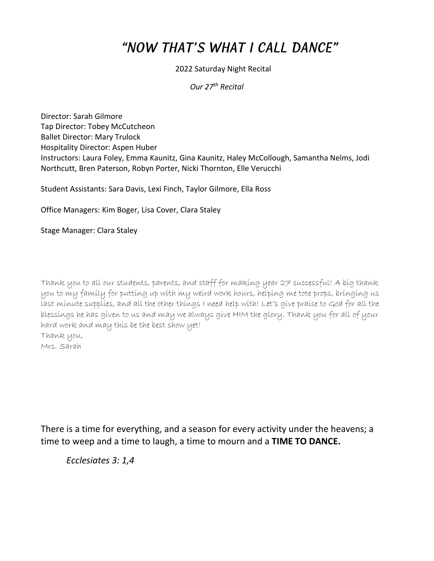# "NOW THAT'S WHAT I CALL DANCE"

#### 2022 Saturday Night Recital

*Our 27th Recital*

Director: Sarah Gilmore Tap Director: Tobey McCutcheon Ballet Director: Mary Trulock Hospitality Director: Aspen Huber Instructors: Laura Foley, Emma Kaunitz, Gina Kaunitz, Haley McCollough, Samantha Nelms, Jodi Northcutt, Bren Paterson, Robyn Porter, Nicki Thornton, Elle Verucchi

Student Assistants: Sara Davis, Lexi Finch, Taylor Gilmore, Ella Ross

Office Managers: Kim Boger, Lisa Cover, Clara Staley

Stage Manager: Clara Staley

Thank you to all our students, parents, and staff for making year 27 successful! A big thank you to my family for putting up with my weird work hours, helping me tote props, bringing us last minute supplies, and all the other things I need help with! Let's give praise to God for all the blessings he has given to us and may we always give HIM the glory. Thank you for all of your hard work and may this be the best show yet! Thank you, Mrs. Sarah

There is a time for everything, and a season for every activity under the heavens; a time to weep and a time to laugh, a time to mourn and a **TIME TO DANCE.** 

*Ecclesiates 3: 1,4*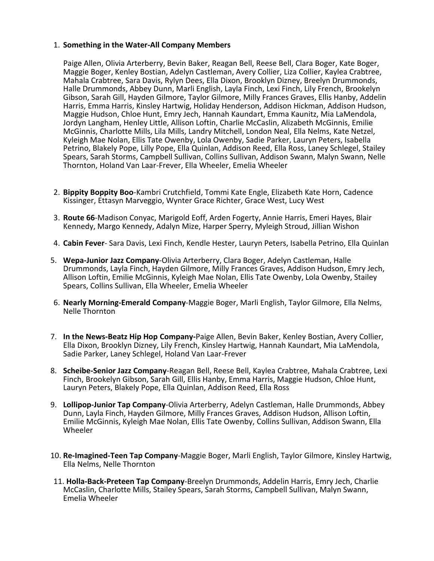#### 1. **Something in the Water-All Company Members**

 Paige Allen, Olivia Arterberry, Bevin Baker, Reagan Bell, Reese Bell, Clara Boger, Kate Boger, Maggie Boger, Kenley Bostian, Adelyn Castleman, Avery Collier, Liza Collier, Kaylea Crabtree, Mahala Crabtree, Sara Davis, Rylyn Dees, Ella Dixon, Brooklyn Dizney, Breelyn Drummonds, Halle Drummonds, Abbey Dunn, Marli English, Layla Finch, Lexi Finch, Lily French, Brookelyn Gibson, Sarah Gill, Hayden Gilmore, Taylor Gilmore, Milly Frances Graves, Ellis Hanby, Addelin Harris, Emma Harris, Kinsley Hartwig, Holiday Henderson, Addison Hickman, Addison Hudson, Maggie Hudson, Chloe Hunt, Emry Jech, Hannah Kaundart, Emma Kaunitz, Mia LaMendola, Jordyn Langham, Henley Little, Allison Loftin, Charlie McCaslin, Alizabeth McGinnis, Emilie McGinnis, Charlotte Mills, Lila Mills, Landry Mitchell, London Neal, Ella Nelms, Kate Netzel, Kyleigh Mae Nolan, Ellis Tate Owenby, Lola Owenby, Sadie Parker, Lauryn Peters, Isabella Petrino, Blakely Pope, Lilly Pope, Ella Quinlan, Addison Reed, Ella Ross, Laney Schlegel, Stailey Spears, Sarah Storms, Campbell Sullivan, Collins Sullivan, Addison Swann, Malyn Swann, Nelle Thornton, Holand Van Laar-Frever, Ella Wheeler, Emelia Wheeler

- 2. **Bippity Boppity Boo**-Kambri Crutchfield, Tommi Kate Engle, Elizabeth Kate Horn, Cadence Kissinger, Ettasyn Marveggio, Wynter Grace Richter, Grace West, Lucy West
- 3. **Route 66**-Madison Conyac, Marigold Eoff, Arden Fogerty, Annie Harris, Emeri Hayes, Blair Kennedy, Margo Kennedy, Adalyn Mize, Harper Sperry, Myleigh Stroud, Jillian Wishon
- 4. **Cabin Fever** Sara Davis, Lexi Finch, Kendle Hester, Lauryn Peters, Isabella Petrino, Ella Quinlan
- 5. **Wepa-Junior Jazz Company**-Olivia Arterberry, Clara Boger, Adelyn Castleman, Halle Drummonds, Layla Finch, Hayden Gilmore, Milly Frances Graves, Addison Hudson, Emry Jech, Allison Loftin, Emilie McGinnis, Kyleigh Mae Nolan, Ellis Tate Owenby, Lola Owenby, Stailey Spears, Collins Sullivan, Ella Wheeler, Emelia Wheeler
- 6. **Nearly Morning-Emerald Company**-Maggie Boger, Marli English, Taylor Gilmore, Ella Nelms, Nelle Thornton
- 7. **In the News-Beatz Hip Hop Company-**Paige Allen, Bevin Baker, Kenley Bostian, Avery Collier, Ella Dixon, Brooklyn Dizney, Lily French, Kinsley Hartwig, Hannah Kaundart, Mia LaMendola, Sadie Parker, Laney Schlegel, Holand Van Laar-Frever
- 8. **Scheibe-Senior Jazz Company**-Reagan Bell, Reese Bell, Kaylea Crabtree, Mahala Crabtree, Lexi Finch, Brookelyn Gibson, Sarah Gill, Ellis Hanby, Emma Harris, Maggie Hudson, Chloe Hunt, Lauryn Peters, Blakely Pope, Ella Quinlan, Addison Reed, Ella Ross
- 9. **Lollipop-Junior Tap Company**-Olivia Arterberry, Adelyn Castleman, Halle Drummonds, Abbey Dunn, Layla Finch, Hayden Gilmore, Milly Frances Graves, Addison Hudson, Allison Loftin, Emilie McGinnis, Kyleigh Mae Nolan, Ellis Tate Owenby, Collins Sullivan, Addison Swann, Ella Wheeler
- 10. **Re-Imagined-Teen Tap Company**-Maggie Boger, Marli English, Taylor Gilmore, Kinsley Hartwig, Ella Nelms, Nelle Thornton
- 11. **Holla-Back-Preteen Tap Company**-Breelyn Drummonds, Addelin Harris, Emry Jech, Charlie McCaslin, Charlotte Mills, Stailey Spears, Sarah Storms, Campbell Sullivan, Malyn Swann, Emelia Wheeler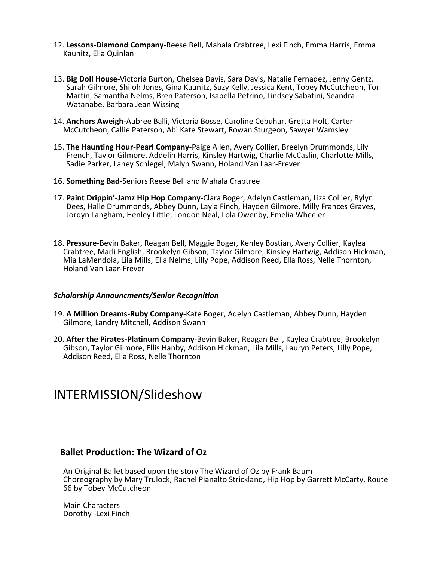- 12. **Lessons-Diamond Company**-Reese Bell, Mahala Crabtree, Lexi Finch, Emma Harris, Emma Kaunitz, Ella Quinlan
- 13. **Big Doll House**-Victoria Burton, Chelsea Davis, Sara Davis, Natalie Fernadez, Jenny Gentz, Sarah Gilmore, Shiloh Jones, Gina Kaunitz, Suzy Kelly, Jessica Kent, Tobey McCutcheon, Tori Martin, Samantha Nelms, Bren Paterson, Isabella Petrino, Lindsey Sabatini, Seandra Watanabe, Barbara Jean Wissing
- 14. **Anchors Aweigh**-Aubree Balli, Victoria Bosse, Caroline Cebuhar, Gretta Holt, Carter McCutcheon, Callie Paterson, Abi Kate Stewart, Rowan Sturgeon, Sawyer Wamsley
- 15. **The Haunting Hour-Pearl Company**-Paige Allen, Avery Collier, Breelyn Drummonds, Lily French, Taylor Gilmore, Addelin Harris, Kinsley Hartwig, Charlie McCaslin, Charlotte Mills, Sadie Parker, Laney Schlegel, Malyn Swann, Holand Van Laar-Frever
- 16. **Something Bad**-Seniors Reese Bell and Mahala Crabtree
- 17. **Paint Drippin'-Jamz Hip Hop Company**-Clara Boger, Adelyn Castleman, Liza Collier, Rylyn Dees, Halle Drummonds, Abbey Dunn, Layla Finch, Hayden Gilmore, Milly Frances Graves, Jordyn Langham, Henley Little, London Neal, Lola Owenby, Emelia Wheeler
- 18. **Pressure**-Bevin Baker, Reagan Bell, Maggie Boger, Kenley Bostian, Avery Collier, Kaylea Crabtree, Marli English, Brookelyn Gibson, Taylor Gilmore, Kinsley Hartwig, Addison Hickman, Mia LaMendola, Lila Mills, Ella Nelms, Lilly Pope, Addison Reed, Ella Ross, Nelle Thornton, Holand Van Laar-Frever

#### *Scholarship Announcments/Senior Recognition*

- 19. **A Million Dreams-Ruby Company**-Kate Boger, Adelyn Castleman, Abbey Dunn, Hayden Gilmore, Landry Mitchell, Addison Swann
- 20. **After the Pirates-Platinum Company**-Bevin Baker, Reagan Bell, Kaylea Crabtree, Brookelyn Gibson, Taylor Gilmore, Ellis Hanby, Addison Hickman, Lila Mills, Lauryn Peters, Lilly Pope, Addison Reed, Ella Ross, Nelle Thornton

## INTERMISSION/Slideshow

### **Ballet Production: The Wizard of Oz**

An Original Ballet based upon the story The Wizard of Oz by Frank Baum Choreography by Mary Trulock, Rachel Pianalto Strickland, Hip Hop by Garrett McCarty, Route 66 by Tobey McCutcheon

Main Characters Dorothy -Lexi Finch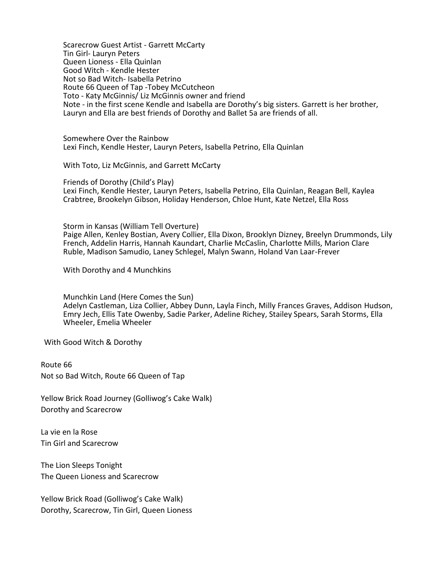Scarecrow Guest Artist - Garrett McCarty Tin Girl- Lauryn Peters Queen Lioness - Ella Quinlan Good Witch - Kendle Hester Not so Bad Witch- Isabella Petrino Route 66 Queen of Tap -Tobey McCutcheon Toto - Katy McGinnis/ Liz McGinnis owner and friend Note - in the first scene Kendle and Isabella are Dorothy's big sisters. Garrett is her brother, Lauryn and Ella are best friends of Dorothy and Ballet 5a are friends of all.

Somewhere Over the Rainbow Lexi Finch, Kendle Hester, Lauryn Peters, Isabella Petrino, Ella Quinlan

With Toto, Liz McGinnis, and Garrett McCarty

Friends of Dorothy (Child's Play) Lexi Finch, Kendle Hester, Lauryn Peters, Isabella Petrino, Ella Quinlan, Reagan Bell, Kaylea Crabtree, Brookelyn Gibson, Holiday Henderson, Chloe Hunt, Kate Netzel, Ella Ross

Storm in Kansas (William Tell Overture) Paige Allen, Kenley Bostian, Avery Collier, Ella Dixon, Brooklyn Dizney, Breelyn Drummonds, Lily French, Addelin Harris, Hannah Kaundart, Charlie McCaslin, Charlotte Mills, Marion Clare Ruble, Madison Samudio, Laney Schlegel, Malyn Swann, Holand Van Laar-Frever

With Dorothy and 4 Munchkins

Munchkin Land (Here Comes the Sun) Adelyn Castleman, Liza Collier, Abbey Dunn, Layla Finch, Milly Frances Graves, Addison Hudson, Emry Jech, Ellis Tate Owenby, Sadie Parker, Adeline Richey, Stailey Spears, Sarah Storms, Ella Wheeler, Emelia Wheeler

With Good Witch & Dorothy

Route 66 Not so Bad Witch, Route 66 Queen of Tap

Yellow Brick Road Journey (Golliwog's Cake Walk) Dorothy and Scarecrow

La vie en la Rose Tin Girl and Scarecrow

The Lion Sleeps Tonight The Queen Lioness and Scarecrow

Yellow Brick Road (Golliwog's Cake Walk) Dorothy, Scarecrow, Tin Girl, Queen Lioness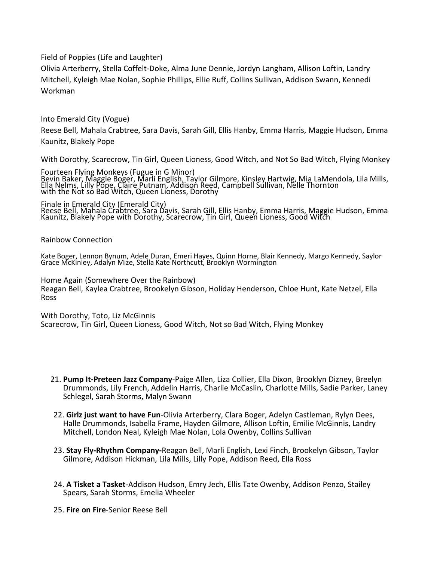Field of Poppies (Life and Laughter)

Olivia Arterberry, Stella Coffelt-Doke, Alma June Dennie, Jordyn Langham, Allison Loftin, Landry Mitchell, Kyleigh Mae Nolan, Sophie Phillips, Ellie Ruff, Collins Sullivan, Addison Swann, Kennedi Workman

Into Emerald City (Vogue)

Reese Bell, Mahala Crabtree, Sara Davis, Sarah Gill, Ellis Hanby, Emma Harris, Maggie Hudson, Emma Kaunitz, Blakely Pope

With Dorothy, Scarecrow, Tin Girl, Queen Lioness, Good Witch, and Not So Bad Witch, Flying Monkey

Fourteen Flying Monkeys (Fugue in G Minor) Bevin Baker, Maggie Boger, Marli English, Taylor Gilmore, Kinsley Hartwig, Mia LaMendola, Lila Mills, Ella Nelms, Lilly Pope, Claire Putnam, Addison Reed, Campbell Sullivan, Nelle Thornton with the Not so Bad Witch, Queen Lioness, Dorothy

Finale in Emerald City (Emerald City) Reese Bell, Mahala Crabtree, Sara Davis, Sarah Gill, Ellis Hanby, Emma Harris, Maggie Hudson, Emma Kaunitz, Blakely Pope with Dorothy, Scarecrow, Tin Girl, Queen Lioness, Good Witch

Rainbow Connection

Kate Boger, Lennon Bynum, Adele Duran, Emeri Hayes, Quinn Horne, Blair Kennedy, Margo Kennedy, Saylor Grace McKinley, Adalyn Mize, Stella Kate Northcutt, Brooklyn Wormington

Home Again (Somewhere Over the Rainbow) Reagan Bell, Kaylea Crabtree, Brookelyn Gibson, Holiday Henderson, Chloe Hunt, Kate Netzel, Ella Ross

With Dorothy, Toto, Liz McGinnis Scarecrow, Tin Girl, Queen Lioness, Good Witch, Not so Bad Witch, Flying Monkey

- 21. **Pump It-Preteen Jazz Company**-Paige Allen, Liza Collier, Ella Dixon, Brooklyn Dizney, Breelyn Drummonds, Lily French, Addelin Harris, Charlie McCaslin, Charlotte Mills, Sadie Parker, Laney Schlegel, Sarah Storms, Malyn Swann
- 22. **Girlz just want to have Fun**-Olivia Arterberry, Clara Boger, Adelyn Castleman, Rylyn Dees, Halle Drummonds, Isabella Frame, Hayden Gilmore, Allison Loftin, Emilie McGinnis, Landry Mitchell, London Neal, Kyleigh Mae Nolan, Lola Owenby, Collins Sullivan
- 23. **Stay Fly-Rhythm Company-**Reagan Bell, Marli English, Lexi Finch, Brookelyn Gibson, Taylor Gilmore, Addison Hickman, Lila Mills, Lilly Pope, Addison Reed, Ella Ross
- 24. **A Tisket a Tasket**-Addison Hudson, Emry Jech, Ellis Tate Owenby, Addison Penzo, Stailey Spears, Sarah Storms, Emelia Wheeler
- 25. **Fire on Fire**-Senior Reese Bell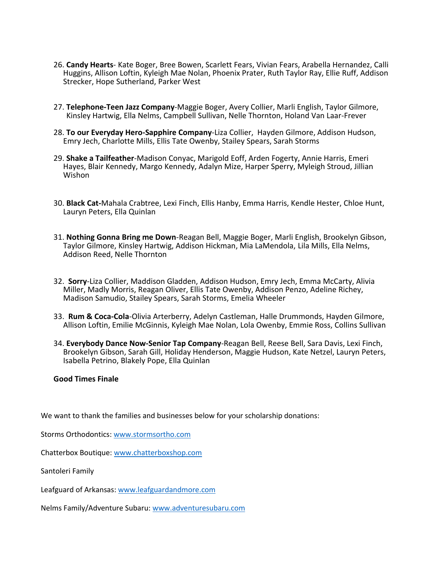- 26. **Candy Hearts** Kate Boger, Bree Bowen, Scarlett Fears, Vivian Fears, Arabella Hernandez, Calli Huggins, Allison Loftin, Kyleigh Mae Nolan, Phoenix Prater, Ruth Taylor Ray, Ellie Ruff, Addison Strecker, Hope Sutherland, Parker West
- 27. **Telephone-Teen Jazz Company**-Maggie Boger, Avery Collier, Marli English, Taylor Gilmore, Kinsley Hartwig, Ella Nelms, Campbell Sullivan, Nelle Thornton, Holand Van Laar-Frever
- 28. **To our Everyday Hero-Sapphire Company**-Liza Collier, Hayden Gilmore, Addison Hudson, Emry Jech, Charlotte Mills, Ellis Tate Owenby, Stailey Spears, Sarah Storms
- 29. **Shake a Tailfeather**-Madison Conyac, Marigold Eoff, Arden Fogerty, Annie Harris, Emeri Hayes, Blair Kennedy, Margo Kennedy, Adalyn Mize, Harper Sperry, Myleigh Stroud, Jillian Wishon
- 30. **Black Cat-**Mahala Crabtree, Lexi Finch, Ellis Hanby, Emma Harris, Kendle Hester, Chloe Hunt, Lauryn Peters, Ella Quinlan
- 31. **Nothing Gonna Bring me Down**-Reagan Bell, Maggie Boger, Marli English, Brookelyn Gibson, Taylor Gilmore, Kinsley Hartwig, Addison Hickman, Mia LaMendola, Lila Mills, Ella Nelms, Addison Reed, Nelle Thornton
- 32. **Sorry**-Liza Collier, Maddison Gladden, Addison Hudson, Emry Jech, Emma McCarty, Alivia Miller, Madly Morris, Reagan Oliver, Ellis Tate Owenby, Addison Penzo, Adeline Richey, Madison Samudio, Stailey Spears, Sarah Storms, Emelia Wheeler
- 33. **Rum & Coca-Cola**-Olivia Arterberry, Adelyn Castleman, Halle Drummonds, Hayden Gilmore, Allison Loftin, Emilie McGinnis, Kyleigh Mae Nolan, Lola Owenby, Emmie Ross, Collins Sullivan
- 34. **Everybody Dance Now-Senior Tap Company**-Reagan Bell, Reese Bell, Sara Davis, Lexi Finch, Brookelyn Gibson, Sarah Gill, Holiday Henderson, Maggie Hudson, Kate Netzel, Lauryn Peters, Isabella Petrino, Blakely Pope, Ella Quinlan

#### **Good Times Finale**

We want to thank the families and businesses below for your scholarship donations:

Storms Orthodontics:<www.stormsortho.com>

Chatterbox Boutique[: www.chatterboxshop.com](www.chatterboxshop.com)

Santoleri Family

Leafguard of Arkansas[: www.leafguardandmore.com](www.leafguardandmore.com)

Nelms Family/Adventure Subaru:<www.adventuresubaru.com>